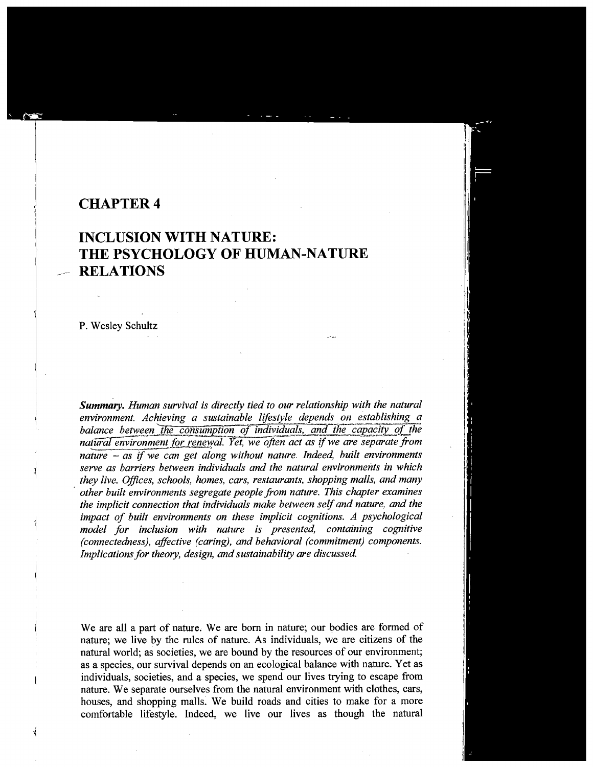# **CHAPTER4**

# **INCLUSION WITH NATURE: THE PSYCHOLOGY OF HUMAN-NATURE RELATIONS**

P. Wesley Schultz

*Summary. Human survival is directly tied to our relationship with the natural environment. Achieving a sustainable lifestyle depends on establishing a balance between the consumption of individuals, and the capacity of the natural environment for renewal. Yet, we often act as if we are separate from nature* - *as if we can get along without nature. Indeed, built environments serve as barriers between individuals and the natural environments in which they live. Offices, schools, homes, cars, restaurants, shopping malls, and many other built environments segregate people from nature. This chapter examines the implicit connection that individuals make between self and nature, and the impact of built environments on these implicit cognitions. A psychological model for inclusion with nature is presented, containing cognitive (connectedness), affective (caring), and behavioral (commitment) components. Implications for theory, design, and sustainability are discussed.* 

We are all a part of nature, We are born in nature; our bodies are formed of nature; we live by the rules of nature. As individuals, we are citizens of the natural world; as societies, we are bound by the resources of our environment; as a species, our survival depends on an ecological balance with nature. Yet as individuals, societies, and a species, we spend our lives trying to escape from nature. We separate ourselves from the natural environment with clothes, cars, houses, and shopping malls. We build roads and cities to make for a more comfortable lifestyle. Indeed, we live our lives as though the natural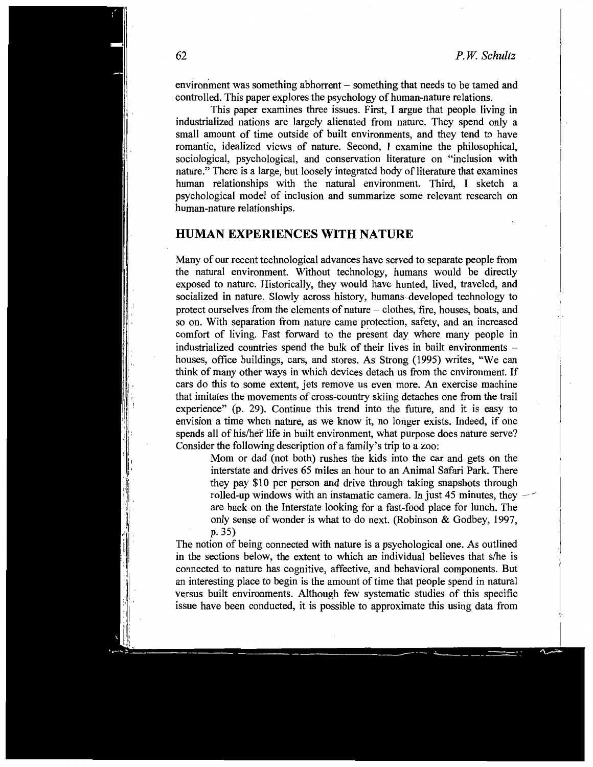environment was something abhorrent  $-$  something that needs to be tamed and controlled. This paper explores the psychology of human-nature relations.

This paper examines three issues. First, I argue that people living in industrialized nations are largely alienated from nature. They spend only a small amount of time outside of built environments, and they tend to have romantic, idealized views of nature. Second, I examine the philosophical, sociological, psychological, and conservation literature on "inclusion with nature." There is a large, but loosely integrated body of literature that examines human relationships with the natural environment. Third, I sketch a psychological model of inclusion and summarize some relevant research on human-nature relationships.

#### **HUMAN EXPERIENCES WITH NATURE**

Many of our recent technological advances have served to separate people from the natural environment. Without technology, humans would be directly exposed to nature. Historically, they would have hunted, lived, traveled, and socialized in nature. Slowly across history, humans developed technology to protect ourselves from the elements of nature - clothes, fire, houses, boats, and so on. With separation from nature came protection, safety, and an increased comfort of living. Fast forward to the present day where many people in industrialized countries spend the bulk of their lives in built environments houses, office buildings, cars, and stores. As Strong (1995) writes, "We can think of many other ways in which devices detach us from the environment. If cars do this to some extent, jets remove us even more. An exercise machine that imitates the movements of cross-country skiing detaches one from the trail experience" (p. 29). Continue this trend into the future, and it is easy to envision a time when nature, as we know it, no longer exists. Indeed, if one spends all of his/her life in built environment, what purpose does nature serve? Consider the following description of a family's trip to a zoo:

Mom or dad (not both) rushes the kids into the car and gets on the interstate and drives 65 miles an hour to an Animal Safari Park. There they pay \$10 per person and drive through taking snapshots through rolled-up windows with an instamatic camera. In just 45 minutes, they  $$ are back on the Interstate looking for a fast-food place for lunch. The only sense of wonder is what to do next. (Robinson & Godbey, 1997, p. 35)

The notion of being connected with nature is a psychological one. As outlined in the sections below, the extent to which an individual believes that s/he is connected to nature has cognitive, affective, and behavioral components. But an interesting place to begin is the amount of time that people spend in natural versus built environments. Although few systematic studies of this specific issue have been conducted, it is possible to approximate this using data from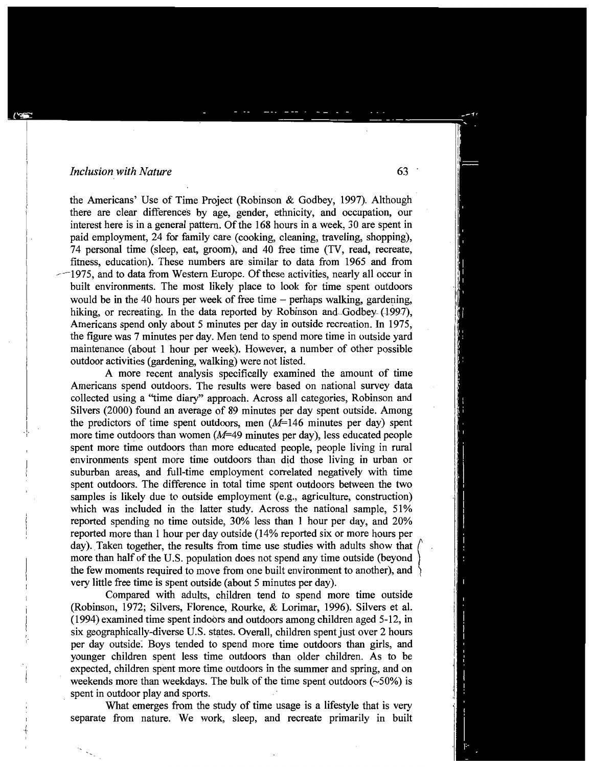the Americans' Use of Time Project (Robinson & Godbey, 1997). Although there are clear differences by age, gender, ethnicity, and occupation, our interest here is in a general pattern. Of the 168 hours in a week, 30 are spent in paid employment, 24 for family care (cooking, cleaning, traveling, shopping), 74 personal time (sleep, eat, groom), and 40 free time (TV, read, recreate, fitness, education). These numbers are similar to data from 1965 and from  $-1975$ , and to data from Western Europe. Of these activities, nearly all occur in built environments. The most likely place to look for time spent outdoors would be in the 40 hours per week of free time  $-$  perhaps walking, gardening, hiking, or recreating. In the data reported by Robinson and Godbey (1997), Americans spend only about 5 minutes per day in outside recreation. In 1975, the figure was 7 minutes per day. Men tend to spend more time in outside yard maintenance (about 1 hour per week). However, a number of other possible outdoor activities (gardening, walking) were not listed.

A more recent analysis specifically examined the amount of time Americans spend outdoors. The results were based on national survey data collected using a "time diary" approach. Across all categories, Robinson and Silvers (2000) found an average of 89 minutes per day spent outside. Among the predictors of time spent outdoors, men  $(M=146 \text{ minutes per day})$  spent more time outdoors than women  $(M=49 \text{ minutes per day})$ , less educated people spent more time outdoors than more educated people, people living in rural environments spent more time outdoors than did those living in urban or suburban areas, and full-time employment correlated negatively with time spent outdoors. The difference in total time spent outdoors between the two samples is likely due to outside employment (e.g., agriculture, construction) which was included in the latter study. Across the national sample, 51% reported spending no time outside, 30% less than I hour per day, and 20% reported more than 1 hour per day outside (14% reported six or more hours per day). Taken together, the results from time use studies with adults show that more than half of the U.S. population does not spend any time outside (beyond the few moments required to move from one built environment to another), and very little free time is spent outside (about 5 minutes per day).

Compared with adults, children tend to spend more time outside (Robinson, 1972; Silvers, Florence, Rourke, & Lorimar, 1996). Silvers et al. (1994) examined time spent indoors and outdoors among children aged 5-12, in six geographically-diverse U.S. states. Overall, children spent just over 2 hours per day outside: Boys tended to spend more time outdoors than girls, and younger children spent less time outdoors than older children. As to be expected, children spent more time outdoors in the summer and spring, and on weekends more than weekdays. The bulk of the time spent outdoors  $(-50\%)$  is spent in outdoor play and sports.

What emerges from the study of time usage is a lifestyle that is very separate from nature. We work, sleep, and recreate primarily in built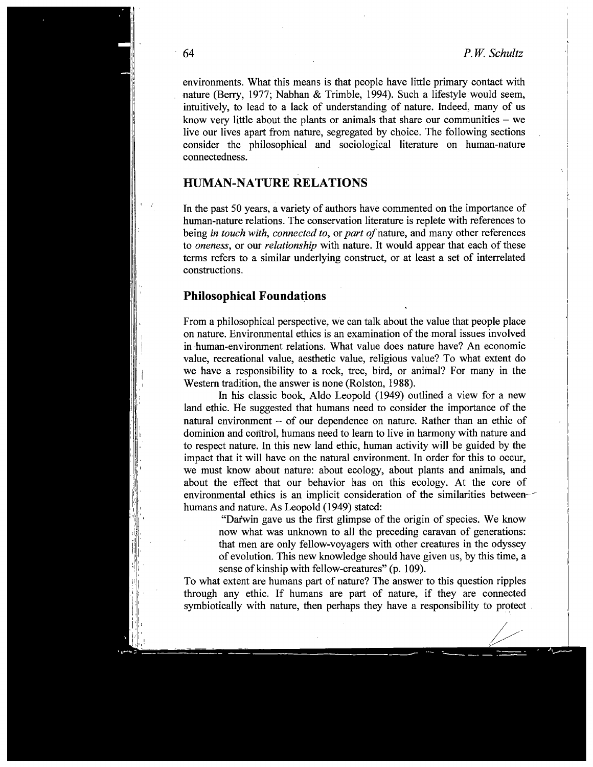/~-

environments. What this means is that people have little primary contact with nature (Berry, 1977; Nabhan & Trimble, 1994). Such a lifestyle would seem, intuitively, to lead to a lack of understanding of nature. Indeed, many of us know very little about the plants or animals that share our communities  $-$  we live our lives apart from nature, segregated by choice. The following sections consider the philosophical and sociological literature on human-nature connectedness.

# **HUMAN-NATURE RELATIONS**

In the past 50 years, a variety of authors have commented on the importance of human-nature relations. The conservation literature is replete with references to being *in touch with, connected to,* or *part of* nature, and many other references to *oneness,* or our *relationship* with nature. It would appear that each of these terms refers to a similar underlying construct, or at least a set of interrelated constructions.

#### **Philosophical Foundations**

From a philosophical perspective, we can talk about the value that people place on nature. Environmental ethics is an examination of the moral issues involved in human-environment relations. What value does nature have? An economic value, recreational value, aesthetic value, religious value? To what extent do we have a responsibility to a rock, tree, bird, or aniinal? For many in the Western tradition, the answer is none (Rolston, 1988).

In his classic book, Aldo Leopold (1949) outlined a view for a new land ethic. He suggested that humans need to consider the importance of the natural environment  $-$  of our dependence on nature. Rather than an ethic of dominion and cofittol, humans need to learn to live in harmony with nature and to respect nature. In this new land ethic, human activity will be guided by the impact that it will have on the natural environment. In order for this to occur, we must know about nature: about ecology, about plants and animals, and about the effect that our behavior has on this ecology. At the core of environmental ethics is an implicit consideration of the similarities between-humans and nature. As Leopold (1949) stated:

"Darwin gave us the first glimpse of the origin of species. We know now what was unknown to all the preceding caravan of generations: that men are only fellow-voyagers with other creatures in the odyssey of evolution. This new knowledge should have given us, by this time, a sense of kinship with fellow-creatures" (p. 109).

To what extent are humans part of nature? The answer to this question ripples through any ethic. If humans are part of nature, if they are connected symbiotically with nature, then perhaps they have a responsibility to protect .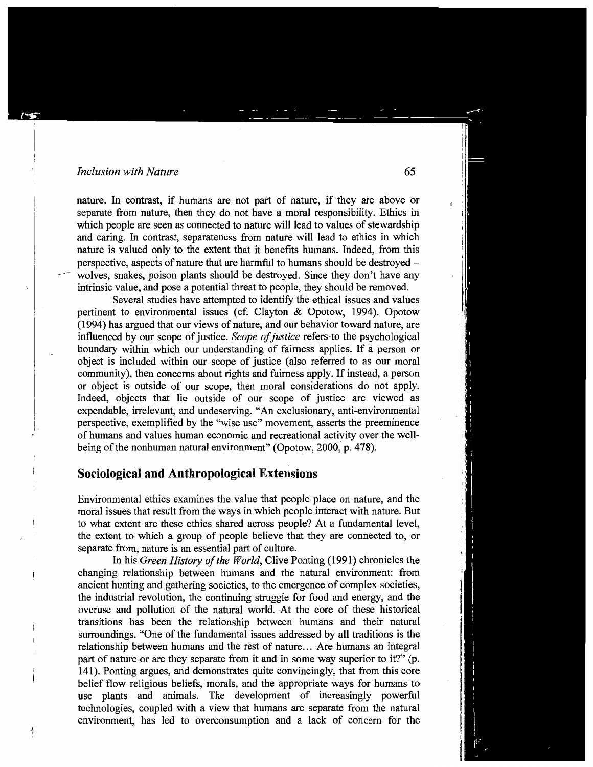nature. In contrast, if humans are not part of nature, if they are above or separate from nature, then they do not have a moral responsibility. Ethics in which people are seen as connected to nature will lead to values of stewardship and caring. In contrast, separateness from nature will lead to ethics in which nature is valued only to the extent that it benefits humans. Indeed, from this perspective, aspects of nature that are harmful to humans should be destroyed wolves, snakes, poison plants should be destroyed. Since they don't have any intrinsic value, and pose a potential threat to people, they should be removed.

Several studies have attempted to identify the ethical issues and values pertinent to environmental issues (cf. Clayton & Opotow, 1994). Opotow (1994) has argued that our views of nature, and our behavior toward nature, are influenced by our scope of justice. *Scope of justice* refers-to the psychological boundary within which our understanding of fairness applies. If a person or object is included within our scope of justice (also referred to as our moral community), then concerns about rights and fairness apply. If instead, a person or object is outside of our scope, then moral considerations do not apply. Indeed, objects that lie outside of our scope of justice are viewed as expendable, irrelevant, and undeserving. "An exclusionary, anti-environmental perspective, exemplified by the "wise use" movement, asserts the preeminence of humans and values human economic and recreational activity over the wellbeing of the nonhuman natural environment" (Opotow, 2000, p. 478).

## **Sociological and Anthropological Extensions**

Environmental ethics examines the value that people place on nature, and the moral issues that result from the ways in which people interact with nature. But to what extent are these ethics shared across people? At a fundamental level, the extent to which a group of people believe that they are connected to, or separate from, nature is an essential part of culture.

In his *Green History of the World,* Clive Ponting (1991) chronicles the changing relationship between humans and the natural environment: from ancient hunting and gathering societies, to the emergence of complex societies, the industrial revolution, the continuing struggle for food and energy, and the overuse and pollution of the natural world. At the core of these historical transitions has been the relationship between humans and their natural surroundings. "One of the fundamental issues addressed by all traditions is the relationship between humans and the rest of nature... Are humans an integral part of nature or are they separate from it and in some way superior to it?" (p. 141 ). Ponting argues, and demonstrates quite convincingly, that from this core belief flow religious beliefs, morals, and the appropriate ways for humans to use plants and animals. The development of increasingly powerful technologies, coupled with a view that humans are separate from the natural environment, has led to overconsumption and a lack of concern for the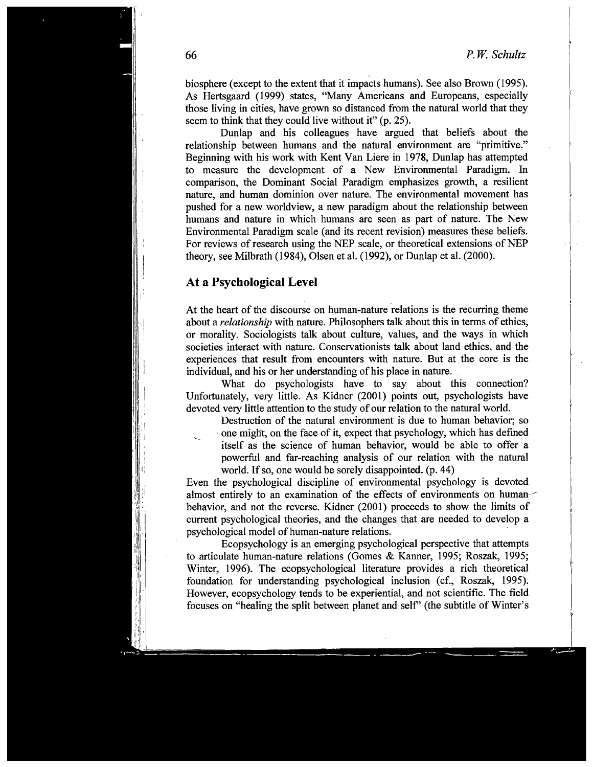biosphere (except to the extent that it impacts humans). See also Brown (1995). As Hertsgaard (1999) states, "Many Americans and Europeans, especially those living in cities, have grown so distanced from the natural world that they seem to think that they could live without it" (p. 25).

Dunlap and his colleagues have argued that beliefs about the relationship between humans and the natural environment are "primitive." Beginning with his work with Kent Van Liere in 1978, Dunlap has attempted to measure the development of a New Environmental Paradigm. In comparison, the Dominant Social Paradigm emphasizes growth, a resilient nature, and human dominion over nature. The environmental movement has pushed for a new worldview, a new paradigm about the relationship between humans and nature in which humans are seen as part of nature. The New Environmental Paradigm scale (and its recent revision) measures these beliefs. For reviews of research using the NEP scale, or theoretical extensions of NEP theory, see Milbrath (1984), Olsen et al. (1992), or Dunlap et al. (2000).

## **At a Psychological Level**

At the heart of the discourse on human-nature relations is the recurring theme about a *relationship* with nature. Philosophers talk about this in terms of ethics, or morality. Sociologists talk about culture, values, and the ways in which societies interact with nature. Conservationists talk about land ethics, and the experiences that result from encounters with nature. But at the core is the individual, and his or her understanding of his place in nature.

What do psychologists have to say about this connection? Unfortunately, very little. As Kidner (2001) points out, psychologists have devoted very little attention to the study of our relation to the natural world.

Destruction of the natural environment is due to human behavior; so one might, on the face of it, expect that psychology, which has defined itself as the science of human behavior, would be able to offer a powerful and far-reaching analysis of our relation with the natural world. If so, one would be sorely disappointed. (p. 44)

Even the psychological discipline of environmental psychology is devoted almost entirely to an examination of the effects of environments on humanbehavior, and not the reverse. Kidner (2001) proceeds to show the limits of current psychological theories, and the changes that are needed to develop a psychological model of human-nature relations.

Ecopsychology is an emerging psychological perspective that attempts to articulate human-nature relations (Gomes & Kanner, 1995; Roszak, 1995; Winter, 1996). The ecopsychological literature provides a rich theoretical foundation for understanding psychological inclusion (cf., Roszak, 1995). However, ecopsychology tends to be experiential, and not scientific. The field focuses on "healing the split between planet and self' (the subtitle of Winter's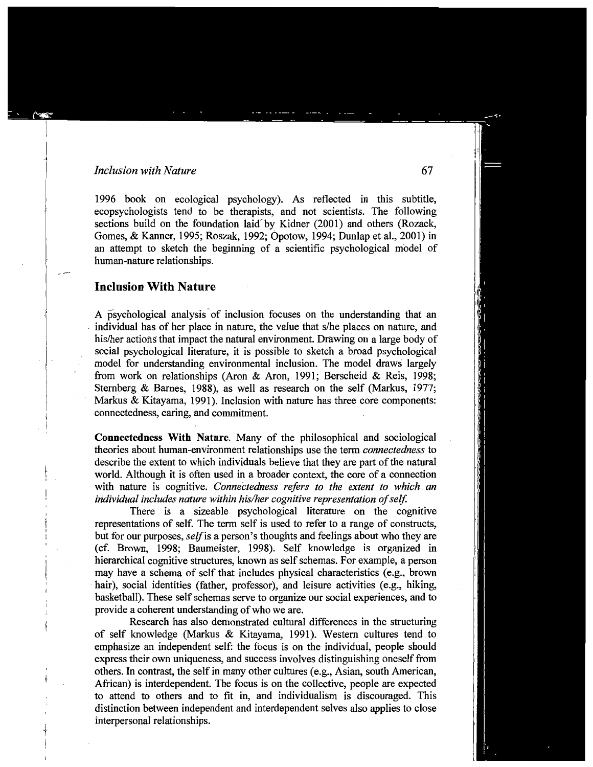1996 book on ecological psychology). As reflected in this subtitle, ecopsychologists tend to be therapists, and not scientists. The following sections build on the foundation laid by Kidner (2001) and others (Rozack, Gomes, & Kanner, 1995; Roszak, 1992; Opotow, 1994; Dunlap et al., 2001) in an attempt to sketch the beginning of a scientific psychological model of human-nature relationships.

## **Inclusion With Nature**

A psychological analysis of inclusion focuses on the understanding that an individual has of her place in nature, the value that s/he places on nature, and his/her actions that impact the natural environment. Drawing on a large body of social psychological literature, it is possible to sketch a broad psychological model for understanding environmental inclusion. The model draws largely from work on relationships (Aron & Aron, 1991; Berscheid & Reis, 1998; Sternberg & Barnes, 1988), as well as research on the self (Markus, 1977; Markus & Kitayama, 1991). Inclusion with nature has three core components: connectedness, caring, and commitment.

**Connectedness With Nature.** Many of the philosophical and sociological theories about human-environment relationships use the term *connectedness* to describe the extent to which individuals believe that they are part of the natural world. Although it is often used in a broader context, the core of a connection with nature is cognitive. *Connectedness refers to the extent to which an individual includes nature within his/her cognitive representation of self.* 

There is a sizeable psychological literature on the cognitive representations of self. The term self is used to refer to a range of constructs, but for our purposes, *self* is a person's thoughts and feelings about who they are (cf. Brown, 1998; Baumeister, 1998). Self knowledge is organized in hierarchical cognitive structures, known as self schemas. For example, a person may have a schema of self that includes physical characteristics (e.g., brown hair), social identities (father, professor), and leisure activities (e.g., hiking, basketball). These self schemas serve to organize our social experiences, and to provide a coherent understanding of who we are.

Research has also demonstrated cultural differences in the structuring of self knowledge (Markus & Kitayama, 1991). Western cultures tend to emphasize an independent self: the focus is on the individual, people should express their own uniqueness, and success involves distinguishing oneself from others. In contrast, the self in many other cultures ( e.g., Asian, south American, African) is interdependent. The focus is on the collective, people are expected to attend to others and to fit in, and individualism is discouraged. This distinction between independent and interdependent selves also applies to close interpersonal relationships.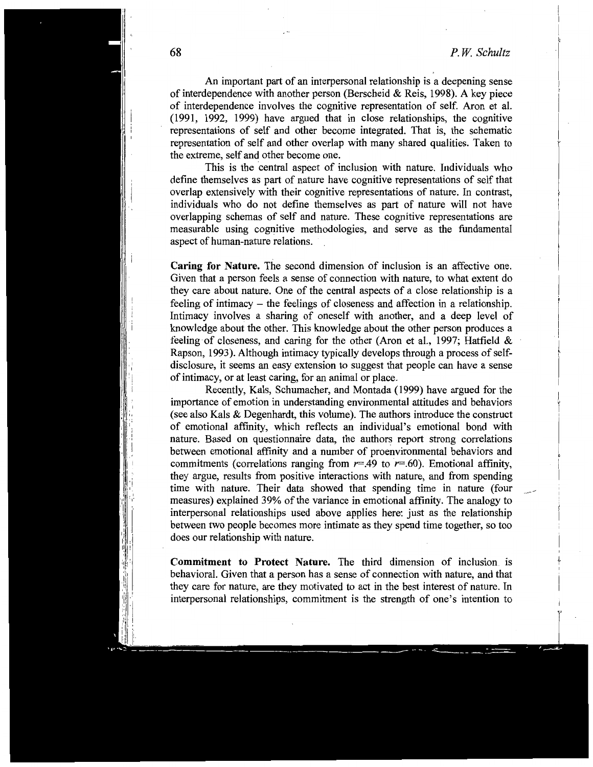An important part of an interpersonal relationship is a deepening sense of interdependence with another person (Berscheid & Reis, 1998). A key piece of interdependence involves the cognitive representation of self. Aron et al. (1991, 1992, 1999) have argued that in close relationships, the cognitive representations of self and other become integrated. That is, the schematic representation of self and other overlap with many shared qualities. Taken to the extreme, self and other become one.

This is the central aspect of inclusion with nature. Individuals who define themselves as part of nature have cognitive representations of self that overlap extensively with their cognitive representations of nature. In contrast, individuals who do not define themselves as part of nature will not have overlapping schemas of self and nature. These cognitive representations are measurable using cognitive methodologies, and serve as the fundamental aspect of human-nature relations.

**Caring for Nature.** The second dimension of inclusion is an affective one. Given that a person feels a sense of connection with nature, to what extent do they care about nature. One of the central aspects of a close relationship is a feeling of intimacy  $-$  the feelings of closeness and affection in a relationship. Intimacy involves a sharing of oneself with another, and a deep level of knowledge about the other. This knowledge about the other person produces a feeling of closeness, and caring for the other (Aron et al., 1997; Hatfield & Rapson, 1993 ). Although intimacy typically develops through a process of selfdisclosure, it seems an easy extension to suggest that people can have a sense of intimacy, or at least caring, for an animal or place.

Recently, Kals, Schumacher, and Montada (1999) have argued for the importance of emotion in understanding environmental attitudes and behaviors (see also Kais & Degenhardt, this volume). The authors introduce the construct of emotional affinity, which reflects an individual's emotional bond with nature. Based on questionnaire data, the authors report strong correlations between emotional affinity and a number of proenvironmental behaviors and commitments (correlations ranging from  $r=0.49$  to  $r=0.60$ ). Emotional affinity, they argue, results from positive interactions with nature, and from spending time with nature. Their data showed that spending time in nature (four measures) explained 39% of the variance in emotional affinity. The analogy to interpersonal relationships used above applies here: just as the relationship between two people becomes more intimate as they spend time together, so too does our relationship with nature.

**Commitment to Protect Nature.** The third dimension of inclusion is behavioral. Given that a person has a sense of connection with nature, and that they care for nature, are they motivated to act in the best interest of nature. In interpersonal relationships, commitment is the strength of one's intention to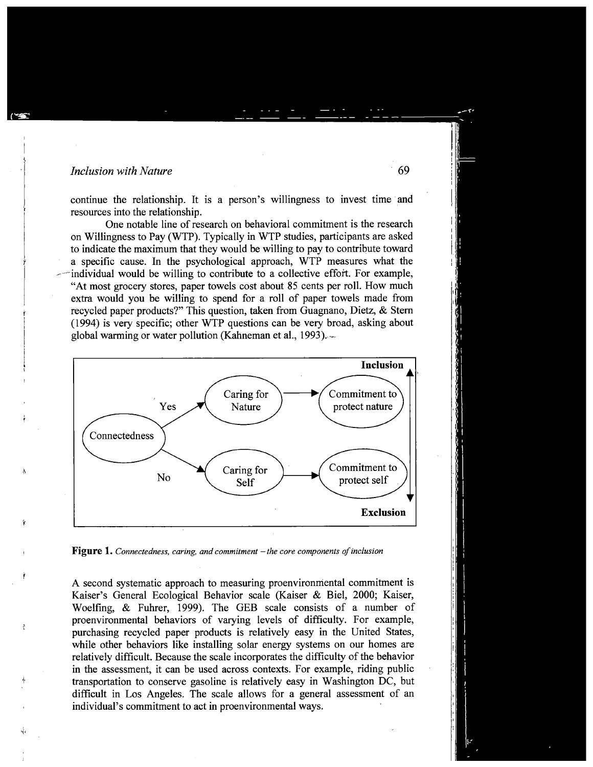#### *Inclusion with Nature* 69

continue the relationship. It is a person's willingness to invest time and resources into the relationship.

One notable line of research on behavioral commitment is the research on Willingness to Pay (WTP). Typically in WTP studies, participants are asked to indicate the maximum that they would be willing to pay to contribute toward a specific cause. In the psychological approach, WTP measures what the individual would be willing to contribute to a collective effort. For example, "At most grocery stores, paper towels cost about 85 cents per roll. How much extra would you be willing to spend for a roll of paper towels made from recycled paper products?" This question, taken from Guagnano, Dietz, & Stem (1994) is very specific; other WTP questions can be very broad, asking about global warming or water pollution (Kahneman et al., 1993).·-



**Figure 1.** *Connectedness, caring, and commitment -the core components of inclusion* 

A second systematic approach to measuring proenvironmental commitment is Kaiser's General Ecological Behavior scale (Kaiser & Biel, 2000; Kaiser, Woelfing, & Fuhrer, 1999). The GEB scale consists of a number of proenvironmental behaviors of varying levels of difficulty. For example, purchasing recycled paper products is relatively easy in the United States, while other behaviors like installing solar energy systems on our homes are relatively difficult. Because the scale incorporates the difficulty of the behavior in the assessment, it can be used across contexts. For example, riding public transportation to conserve gasoline is relatively easy in Washington DC, but difficult in Los Angeles. The scale allows for a general assessment of an individual's commitment to act in proenvironmental ways.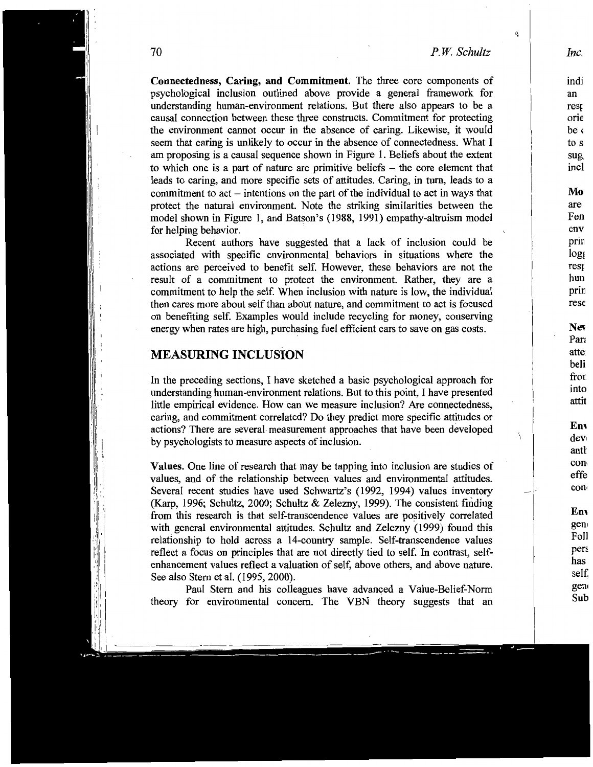$\alpha$ 

 $\overline{\phantom{0}}$ 

**Connectedness, Caring, and Commitment.** The three core components of psychological inclusion outlined above provide a general framework for understanding human-environment relations. But there also appears to be a causal connection between these three constructs. Commitment for protecting the environment cannot occur in the absence of caring. Likewise, it would seem that caring is unlikely to occur in the absence of connectedness. What I am proposing is a causal sequence shown in Figure 1. Beliefs about the extent to which one is a part of nature are primitive beliefs  $-$  the core element that leads to caring, and more specific sets of attitudes. Caring, in tum, leads to a commitment to  $act$  - intentions on the part of the individual to act in ways that protect the natural environment. Note the striking similarities between the model shown in Figure 1, and Batson's (1988, 1991) empathy-altruism model for helping behavior.

Recent authors have suggested that a lack of inclusion could be associated with specific environmental behaviors in situations where the actions are perceived to benefit self. However, these behaviors are not the result of a commitment to protect the environment. Rather, they are a commitment to help the self. When inclusion with nature is low, the individual then cares more about self than about nature, and commitment to act is focused on benefiting self. Examples would include recycling for money, conserving energy when rates are high, purchasing fuel efficient cars to save on gas costs.

## **MEASURING INCLUSION**

In the preceding sections, I have sketched a basic psychological approach for understanding human-environment relations. But to this point, I have presented little empirical evidence. How can we measure inclusion? Are connectedness, caring, and commitment correlated? Do they predict more specific attitudes or actions? There are several-measurement approaches that have been developed by psychologists to measure aspects of inclusion.

**Values.** One line of research that may be tapping into inclusion are studies of values, and of the relationship between values and environmental attitudes. Several recent studies have used Schwartz's (1992, 1994) values inventory (Karp, 1996; Schultz, 2000; Schultz & Zelezny, 1999). The consistent finding from this research is that self-transcendence values are positively correlated with general environmental attitudes. Schultz and Zelezny (1999) found this relationship to hold across a 14-country sample. Self-transcendence values reflect a focus on principles that are not directly tied to self. In contrast, selfenhancement values reflect a valuation of self, above others, and above nature. See also Stern et al. (1995, 2000).

Paul Stem and his colleagues have advanced a Value-Belief-Norm theory for environmental concern. The VBN theory suggests that an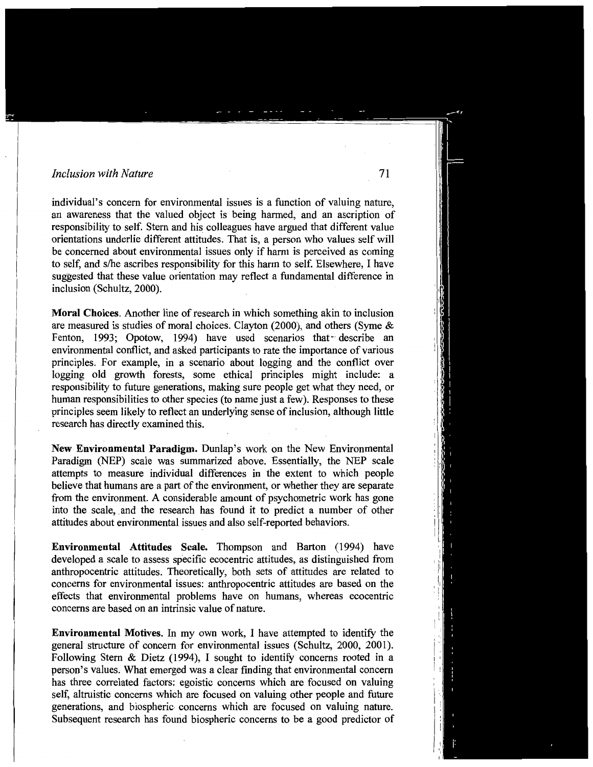#### *Inclusion with Nature* 71

individual's concern for environmental issues is a function of valuing nature, an awareness that the valued object is being harmed, and an ascription of responsibility to self. Stern and his colleagues have argued that different value orientations underlie different attitudes. That is, a person who values self will be concerned about environmental issues only if harm is perceived as coming to self, and s/he ascribes responsibility for this harm to self. Elsewhere, I have suggested that these value orientation may reflect a fundamental difference in inclusion (Schultz, 2000).

**Moral Choices.** Another line of research in which something akin to inclusion are measured is studies of moral choices. Clayton (2000), and others (Syme & Fenton, 1993; Opotow, 1994) have used scenarios that describe an environmental conflict, and asked participants to rate the importance of various principles. For example, in a scenario about logging and the conflict over logging old growth forests, some ethical principles might include: a responsibility to future generations, making sure people get what they need, or human responsibilities to other species (to name just a few). Responses to these principles seem likely to reflect an underlying sense of inclusion, although little research has directly examined this.

**New Environmental Paradigm.** Dunlap's work on the New Environmental Paradigm (NEP) scale was summarized above. Essentially, the NEP scale attempts to measure individual differences in the extent to which people believe that humans are a part of the environment, or whether they are separate from the environment. A considerable amount of psychometric work has gone into the scale, and the research has found it to predict a number of other attitudes about environmental issues and also self-reported behaviors.

**Environmental Attitudes Scale.** Thompson and Barton (1994) have developed a scale to assess specific ecocentric attitudes, as distinguished from anthropocentric attitudes. Theoretically, both sets of attitudes are related to concerns for environmental issues: anthropocentric attitudes are based on the effects that environmental problems have on humans, whereas ecocentric concerns are based on an intrinsic value of nature.

**Environmental Motives.** In my own work, I have attempted to identify the general structure of concern for environmental issues (Schultz, 2000, 2001). Following Stern & Dietz (1994), I sought to identify concerns rooted in a person's values. What emerged was a clear finding that environmental concern has three correlated factors: egoistic concerns which are focused on valuing self, altruistic concerns which are focused on valuing other people and future generations, and biospheric, concerns which are focused on valuing nature. Subsequent research has found biospheric concerns to be a good predictor of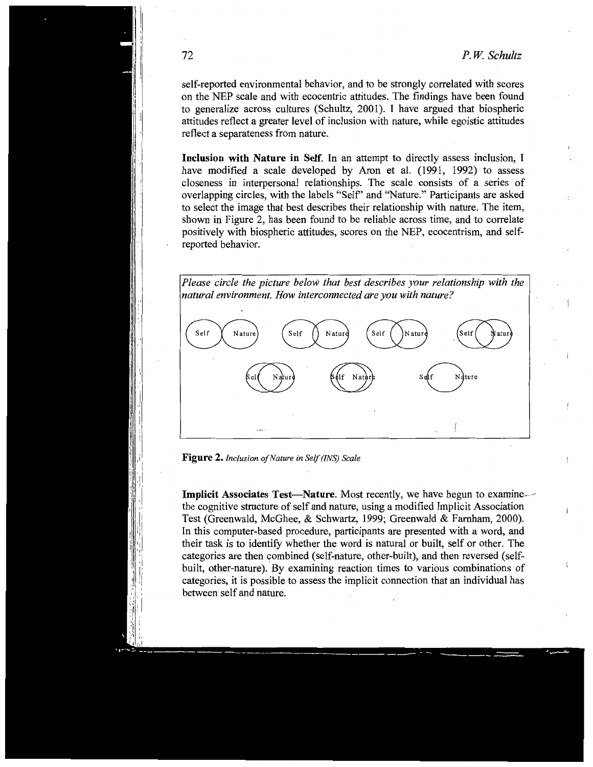self-reported environmental behavior, and to be strongly correlated with scores on the NEP scale and with ecocentric attitudes. The findings have been found to generalize across cultures (Schultz, 2001). I have argued that biospheric attitudes reflect a greater level of inclusion with nature, while egoistic attitudes reflect a separateness from nature.

**Inclusion with Nature in Self.** In an attempt to directly assess inclusion, I have modified a scale developed by Aron et al. (1991, 1992) to assess closeness in interpersonal relationships. The scale consists of a series of overlapping circles, with the labels "Self' and ''Nature." Participants are asked to select the image that best describes their relationship with nature. The item, shown in Figure 2, has been found to be reliable across time, and to correlate positively with biospheric attitudes, scores on the NEP, ecocentrism, and selfreported behavior.

*Please circle the picture below that best describes your relationship with the natural environment. How interconnected are you with nature?* 



**Figure 2.** *Inclusion o/Nature inSelf(JNS) Scale* 

**Implicit Associates Test—Nature.** Most recently, we have begun to examinethe cognitive structure of self and nature, using a modified Implicit Association Test (Greenwald, McGhee, & Schwartz, 1999; Greenwald & Farnham, 2000). In this computer-based procedure, participants are presented with a word, and their task is to identify whether the word is natural or built, self or other. The categories are then combined (self-nature, other-built), and then reversed (selfbuilt, other-nature). By examining reaction times to various combinations of categories, it is possible to assess the implicit connection that an individual has between self and nature.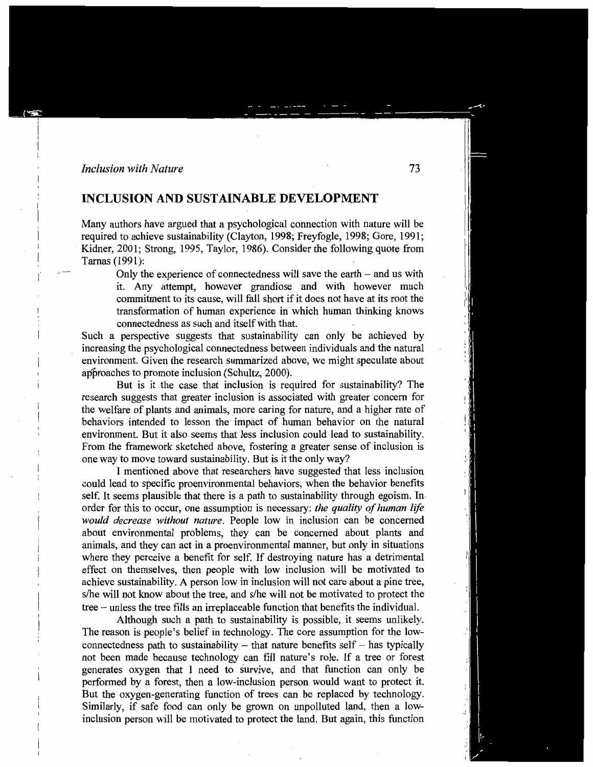#### **INCLUSION AND SUSTAINABLE DEVELOPMENT**

Many authors have argued that a psychological connection with nature will be required to achieve sustainability (Clayton, 1998; Freyfogle, 1998; Gore, 1991; Kidner, 2001; Strong, 1995, Taylor, 1986). Consider the following quote from Tamas (1991):

> Only the experience of connectedness will save the earth  $-$  and us with it. Any attempt, however grandiose and with however much commitment to its cause, will fall short if it does not have at its root the transformation of human experience in which human thinking knows connectedness as such and itself with that.

Such a perspective suggests that sustainability can only be achieved by increasing the psychological connectedness between individuals and the natural environment. Given the research summarized above, we might speculate about approaches to promote inclusion (Schultz, 2000).

But is it the case that inclusion is required for sustainability? The research suggests that greater inclusion is associated with greater concern for the welfare of plants and animals, more caring for nature, and a higher rate of behaviors intended to lesson the impact of human behavior on the natural environment. But it also seems that less inclusion could lead to sustainability. From the framework sketched above, fostering a greater sense of inclusion is one way to move toward sustainability. But is it the only way?

I mentioned above that researchers have suggested that less inclusion could lead to specific proenvironmental behaviors, when the behavior benefits self. It seems plausible that there is a path to sustainability through egoism. In. order for this to occur, one assumption is necessary: *the quality of human life would decrease without nature.* People low in inclusion can be concerned about environmental problems, they can be concerned about plants and animals, and they can act in a proenvironmental manner, but only in situations where they perceive a benefit for self. If destroying nature has a detrimental effect on themselves, then people with low inclusion will be motivated to achieve sustainability. A person low in inclusion will not care about a pine tree, s/he will not know about the tree, and s/he will not be motivated to protect the  $tree - unless the tree fills an irreplaceable function that benefits the individual.$ 

Although such a path to sustainability is possible, it seems unlikely. The reason is people's belief in technology. The core assumption for the lowconnectedness path to sustainability  $-$  that nature benefits self  $-$  has typically not been made because technology can fill nature's role. If a tree or forest generates oxygen that I need to survive, and that function can only be performed by a forest, then a low-inclusion person would want to protect it. But the oxygen-generating function of trees can be replaced by technology. Similarly, if safe food can only be grown on unpolluted land, then a lowinclusion person will be motivated to protect the land. But again, this function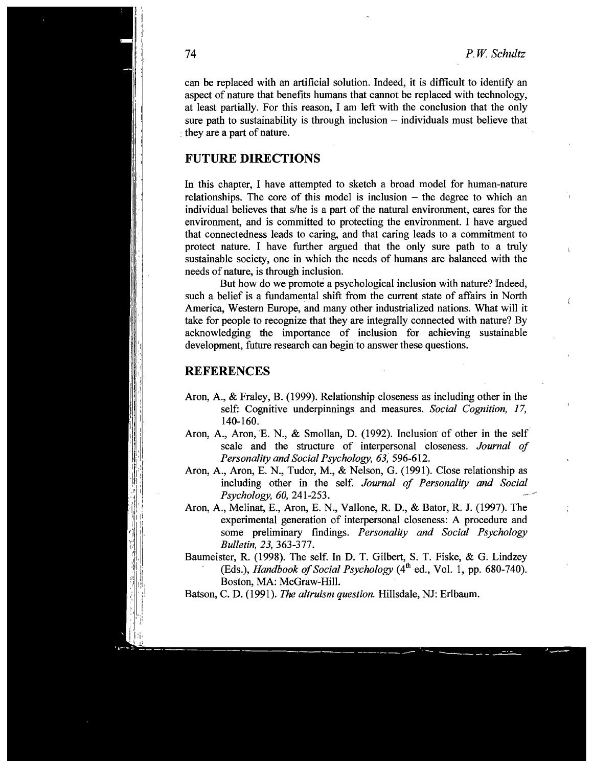$\mathbf{I}$ 

ľ

can be replaced with an artificial solution. Indeed, it is difficult to identify an aspect of nature that benefits humans that cannot be replaced with technology, at least partially. For this reason, I am left with the conclusion that the only sure path to sustainability is through inclusion  $-$  individuals must believe that \_ they are a part of nature.

## **FUTURE DIRECTIONS**

In this chapter, I have attempted to sketch a broad model for human-nature relationships. The core of this model is inclusion  $-$  the degree to which an individual believes that s/he is a part of the natural environment, cares for the environment, and is committed to protecting the environment. I have argued that connectedness leads to caring, and that caring leads to a commitment to protect nature. I have further argued that the only sure path to a truly sustainable society, one in which the needs of humans are balanced with the needs of nature, is through inclusion.

But how do we promote a psychological inclusion with nature? Indeed, such a belief is a fundamental shift from the current state of affairs in North America, Western Europe, and many other industrialized nations. What will it take for people to recognize that they are integrally connected with nature? By acknowledging the importance of inclusion for achieving sustainable development, future research can begin to answer these questions.

## **REFERENCES**

- Aron, A., & Fraley, B. (1999). Relationship closeness as including other in the self: Cognitive underpinnings and measures. *Social Cognition, 17,*  140-160.
- Aron, A., Aron, 'E. N., & Smollan, D. (1992). Inclusion of other in the self scale and the structure of interpersonal closeness. *Journal of Personality and Social Psychology, 63,* 596-612.
- Aron, A., Aron, E. N., Tudor, M., & Nelson, G. (1991). Close relationship as including other in the self. *Journal of Personality and Social Psychology, 60,* 241-253.
- Aron, A., Melinat, E., Aron, E. N., Vallone, R. D., & Bator, R. J. (1997). The experimental generation of interpersonal closeness: A procedure and some preliminary :findings. *Personality and Social Psychology Bulletin, 23,* 363-377.
- Baumeister, R. (1998). The self. In D. T. Gilbert, S. T. Fiske, & G. Lindzey (Eds.), *Handbook of Social Psychology*  $(4^{\text{th}}$  ed., Vol. 1, pp. 680-740). Boston, MA: McGraw-Hill.
- Batson, C. D. (1991). *The altruism question.* Hillsdale, NJ: Erlbaum.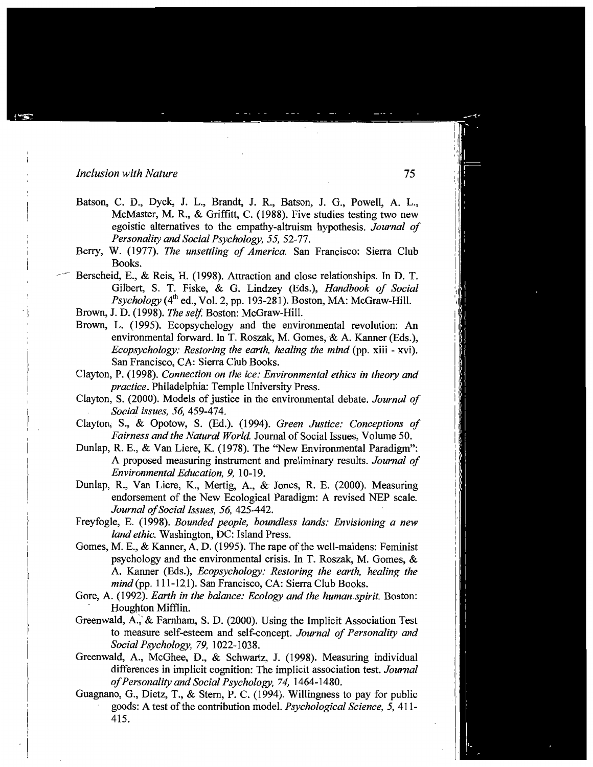- Batson, C. D., Dyck, J. L., Brandt, J. R., Batson, J. G., Powell, A. L., McMaster, M. R., & Griffitt, C. ( 1988). Five studies testing two new egoistic alternatives to the empathy-altruism hypothesis. *Journal of Personality and Social Psychology, 55, 52-77.*
- Berry, W. (1977). *The unsettling of America.* San Francisco: Sierra Club Books.
- Berscheid, E., & Reis, H. (1998). Attraction and close relationships. In D. T. Gilbert, S. T. Fiske, & G. Lindzey (Eds.), *Handbook of Social*  Psychology (4<sup>th</sup> ed., Vol. 2, pp. 193-281). Boston, MA: McGraw-Hill.
	- Brown, J. D. (1998). *The self.* Boston: McGraw-Hill.
	- Brown, L. (1995). Ecopsychology and the environmental revolution: An environmental forward. In T. Roszak, M. Gomes, & A. Kanner (Eds.), *Ecopsychology: Restoring the earth, healing the mind (pp. xiii - xvi).* San Francisco, CA: Sierra Club Books.
	- Clayton, P. (1998). *Connection on the ice: Environmental ethics in theory and practice.* Philadelphia: Temple University Press.
	- Clayton, S. (2000). Models of justice in the environmental debate. *Journal of Social issues, 56,* 459-474.
	- Clayton, S., & Opotow, S. (Ed.). (1994). *Green Justice: Conceptions of Fairness and the Natural World.* Journal of Social Issues, Volume 50.
	- Dunlap, R. E., & Van Liere, K. (1978). The ''New Environmental Paradigm": A proposed measuring instrument and preliminary results. *Journal of Environmental Education, 9,* l 0-19.
	- Dunlap, R., Van Liere, K., Mertig, A., & Jones, R. E. (2000). Measuring endorsement of the New Ecological Paradigm: A revised NEP scale. *Journal of Social Issues, 56,* 425-442.
	- Freyfogle, E. (1998). *Bounded people, boundless lands: Envisioning a new land ethic.* Washington, DC: Island Press.
	- Gomes, M. E., & Kanner, A. D. (1995). The rape of the well-maidens: Feminist psychology and the environmental crisis. In T. Roszak, M. Gomes, & A. Kanner (Eds.), *Ecopsychology: Restoring the earth, healing the mind* (pp. 111-121). San Francisco, CA: Sierra Club Books.
	- Gore, A. (1992). *Earth in the balance: Ecology and the human spirit.* Boston: Houghton Mifflin.
	- Greenwald, A.:' & Farnham, S. D. (2000). Using the Implicit Association Test to measure self-esteem and self-concept. *Journal of Personality and Social Psychology, 79,* 1022-1038.
	- Greenwald, A., McGhee, D., & Schwartz, J. (1998). Measuring individual differences in implicit cognition: The implicit association test. *Journal of Personality and Social Psychology,* 7 *4,* 1464-1480.
	- Guagnano, G., Dietz, T., & Stem, P. C. (1994). Willingness to pay for public goods: A test of the contribution model. *Psychological Science, 5,* 411- 415.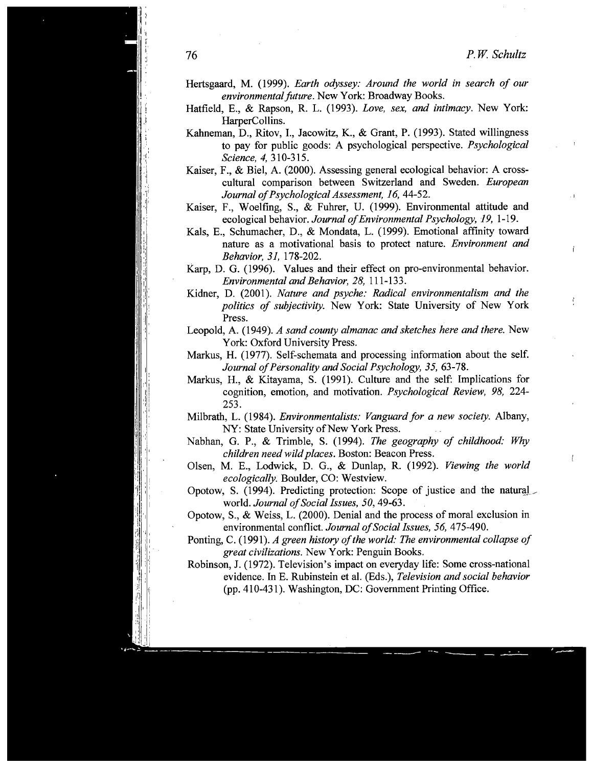- Hertsgaard, M. (1999). *Earth odyssey: Around the world in search of our environmental future.* New York: Broadway Books.
- Hatfield, E., & Rapson, R. L. (1993). *Love, sex, and intimacy.* New York: HarperCollins.
- Kahneman, D., Ritov, I., Jacowitz, K., & Grant, P. (1993). Stated willingness to pay for public goods: A psychological perspective. *Psychological Science, 4,* 310-315.
- Kaiser, F., & Biel, A. (2000). Assessing general ecological behavior: A crosscultural comparison between Switzerland and Sweden. *European Journal of Psychological Assessment, 16,* 44-52.
- Kaiser, F., Woelfing, S., & Fuhrer, U. (1999). Environmental attitude and ecological behavior. *Journal of Environmental Psychology, 19,* 1-19.
- Kals, E., Schumacher, D., & Mondata, L. (1999). Emotional affinity toward nature as a motivational basis to protect nature. *Environment and Behavior, 31,* 178-202.
- Karp, D. G. (1996). Values and their effect on pro-environmental behavior. *Environmental and Behavior, 28,* 111-133.
- Kidner, D. (2001). *Nature and psyche: Radical environmentalism and the politics of subjectivity.* New York: State University of New York Press.
- Leopold, A. (1949). *A sand county almanac and sketches here and there.* New York: Oxford University Press.
- Markus, H. (1977). Self-schemata and processing information about the self. *Journal of Personality and Social Psychology, 35,* 63-78.
- Markus, H., & Kitayama, S. (1991). Culture and the self: Implications for cognition, emotion, and motivation. *Psychological Review, 98,* 224- 253.
- Milbrath, L. (1984). *Environmentalists: Vanguard for a new society.* Albany, NY: State University of New York Press.
- Nabhan, G. P., & Trimble, S. (1994). *The geography of childhood: Why children need wild places.* Boston: Beacon Press.
- Olsen, M. E., Lodwick, D. G., & Dunlap, R. (1992). *Viewing the world ecologically.* Boulder, CO: Westview.
- Opotow, S.  $(1994)$ . Predicting protection: Scope of justice and the natural world. *Journal of Social Issues, 50,* 49-63.
- Opotow, S., & Weiss, L. (2000). Denial and the process of moral exclusion in environmental conflict. *Journal of Social Issues, 56,* 475-490.
- Ponting, C. (1991). *A green history of the world: The environmental collapse of great civilizations.* New York: Penguin Books.
- Robinson, J. (1972). Television's impact on everyday life: Some cross-national evidence. In E. Rubinstein et al. (Eds.), *Television and social behavior*  (pp. 410-431). Washington, DC: Government Printing Office.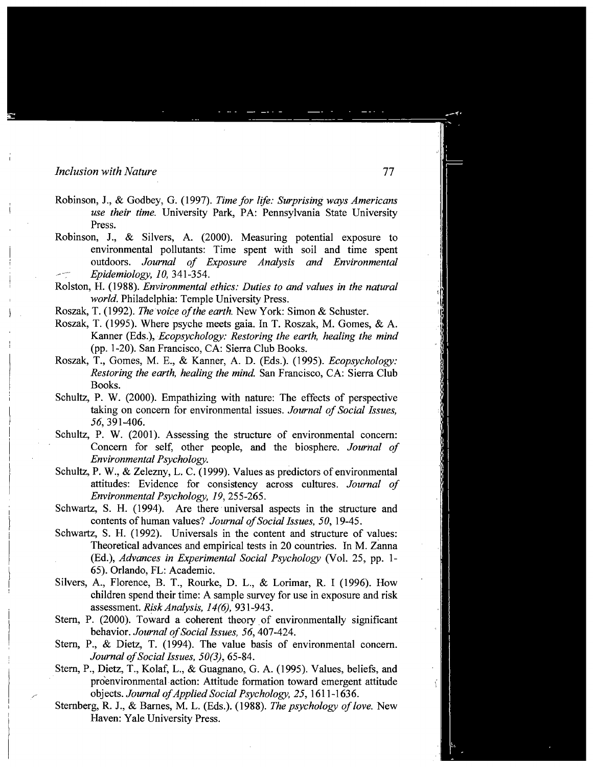- Robinson, J., & Godbey, G. (1997). *Time for life: Surprising ways Americans use their time.* University Park, PA: Pennsylvania State University Press.
- Robinson, J., & Silvers, A. (2000). Measuring potential exposure to environmental pollutants: Time spent with soil and time spent outdoors. *Journal of Exposure Analysis and Environmental Epidemiology, 10,* 341-354.
- Rolston, H. (1988). *Environmental ethics: Duties to and values in the natural world.* Philadelphia: Temple University Press.
- Roszak, T. (1992). *The voice of the earth.* New York: Simon & Schuster.
- Roszak, T. (1995). Where psyche meets gaia. In T. Roszak, M. Gomes, & A. Kanner (Eds.), *Ecopsychology: Restoring the earth, healing the mind*  (pp. 1-20). San Francisco, CA: Sierra Club Books.
- Roszak, T., Gomes, M. E., & Kanner, A. D. (Eds.). (1995). *Ecopsychology: Restoring the earth, healing the mind.* San Francisco, CA: Sierra Club Books.
- Schultz, P. W. (2000). Empathizing with nature: The effects of perspective taking on concern for environmental issues. *Journal of Social Issues, 56,* 391-406.
- Schultz, P. W. (2001). Assessing the structure of environmental concern: Concern for self, other people, and the biosphere. *Journal of Environmental Psychology.*
- Schultz, P. W., & Zelezny, L. C. (1999). Values as predictors of environmental attitudes: Evidence for consistency across cultures. *Journal of Environmental Psychology, 19,* 255-265.
- Schwartz, S. H. (1994). Are there universal aspects in the structure and contents of human values? *Journal of Social Issues, 50,* 19-45.
- Schwartz, S. H. (1992). Universals in the content and structure of values: Theoretical advances and empirical tests in 20 countries. In M. Zanna (Ed.), *Advances in Experimental Social Psychology* (Vol. 25, pp. 1- 65). Orlando, FL: Academic.
- Silvers, A., Florence, B. T., Rourke, D. L., & Lorimar, R. I (1996). How children spend their time: A sample survey for use in exposure and risk assessment. *Risk Analysis, 14(6),* 931-943.
- Stem, P. (2000). Toward a coherent theory of environmentally significant behavior. *Journal of Social Issues, 56,* 407-424.
- Stem, P., & Dietz, T. (1994). The value basis of environmental concern. *Journal of Social Issues, 50(3),* 65-84.
- Stem, P., Dietz, T., Kolaf, L., & Guagnano, G. A. (1995). Values, beliefs, and proenvironmental action: Attitude formation toward emergent attitude objects. *Journal of Applied Social Psychology, 25,* 1611-1636.
- Sternberg, R. J., & Barnes, M. L. (Eds.). (1988). *The psychology of love.* New Haven: Yale University Press.